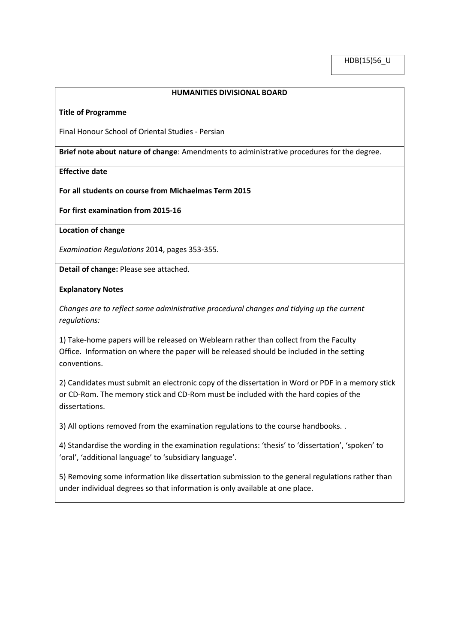## **HUMANITIES DIVISIONAL BOARD**

#### **Title of Programme**

Final Honour School of Oriental Studies - Persian

**Brief note about nature of change**: Amendments to administrative procedures for the degree.

## **Effective date**

**For all students on course from Michaelmas Term 2015**

**For first examination from 2015-16**

**Location of change**

*Examination Regulations* 2014, pages 353-355.

**Detail of change:** Please see attached.

#### **Explanatory Notes**

*Changes are to reflect some administrative procedural changes and tidying up the current regulations:*

1) Take-home papers will be released on Weblearn rather than collect from the Faculty Office. Information on where the paper will be released should be included in the setting conventions.

2) Candidates must submit an electronic copy of the dissertation in Word or PDF in a memory stick or CD-Rom. The memory stick and CD-Rom must be included with the hard copies of the dissertations.

3) All options removed from the examination regulations to the course handbooks. .

4) Standardise the wording in the examination regulations: 'thesis' to 'dissertation', 'spoken' to 'oral', 'additional language' to 'subsidiary language'.

5) Removing some information like dissertation submission to the general regulations rather than under individual degrees so that information is only available at one place.